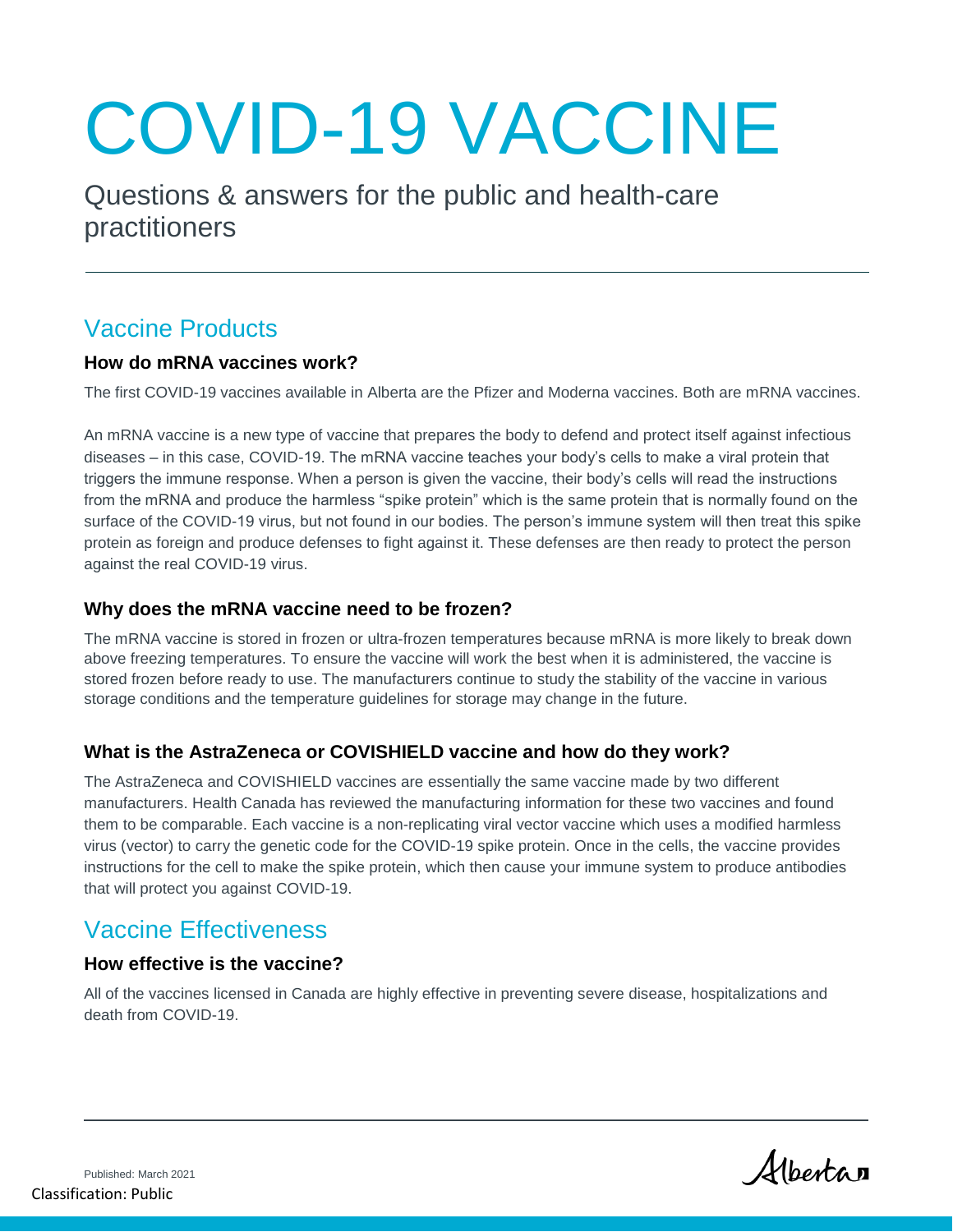# COVID-19 VACCINE

Questions & answers for the public and health-care practitioners

## Vaccine Products

#### **How do mRNA vaccines work?**

The first COVID-19 vaccines available in Alberta are the Pfizer and Moderna vaccines. Both are mRNA vaccines.

An mRNA vaccine is a new type of vaccine that prepares the body to defend and protect itself against infectious diseases – in this case, COVID-19. The mRNA vaccine teaches your body's cells to make a viral protein that triggers the immune response. When a person is given the vaccine, their body's cells will read the instructions from the mRNA and produce the harmless "spike protein" which is the same protein that is normally found on the surface of the COVID-19 virus, but not found in our bodies. The person's immune system will then treat this spike protein as foreign and produce defenses to fight against it. These defenses are then ready to protect the person against the real COVID-19 virus.

#### **Why does the mRNA vaccine need to be frozen?**

The mRNA vaccine is stored in frozen or ultra-frozen temperatures because mRNA is more likely to break down above freezing temperatures. To ensure the vaccine will work the best when it is administered, the vaccine is stored frozen before ready to use. The manufacturers continue to study the stability of the vaccine in various storage conditions and the temperature guidelines for storage may change in the future.

#### **What is the AstraZeneca or COVISHIELD vaccine and how do they work?**

The AstraZeneca and COVISHIELD vaccines are essentially the same vaccine made by two different manufacturers. Health Canada has reviewed the manufacturing information for these two vaccines and found them to be comparable. Each vaccine is a non-replicating viral vector vaccine which uses a modified harmless virus (vector) to carry the genetic code for the COVID-19 spike protein. Once in the cells, the vaccine provides instructions for the cell to make the spike protein, which then cause your immune system to produce antibodies that will protect you against COVID-19.

## Vaccine Effectiveness

#### **How effective is the vaccine?**

All of the vaccines licensed in Canada are highly effective in preventing severe disease, hospitalizations and death from COVID-19.

Albertan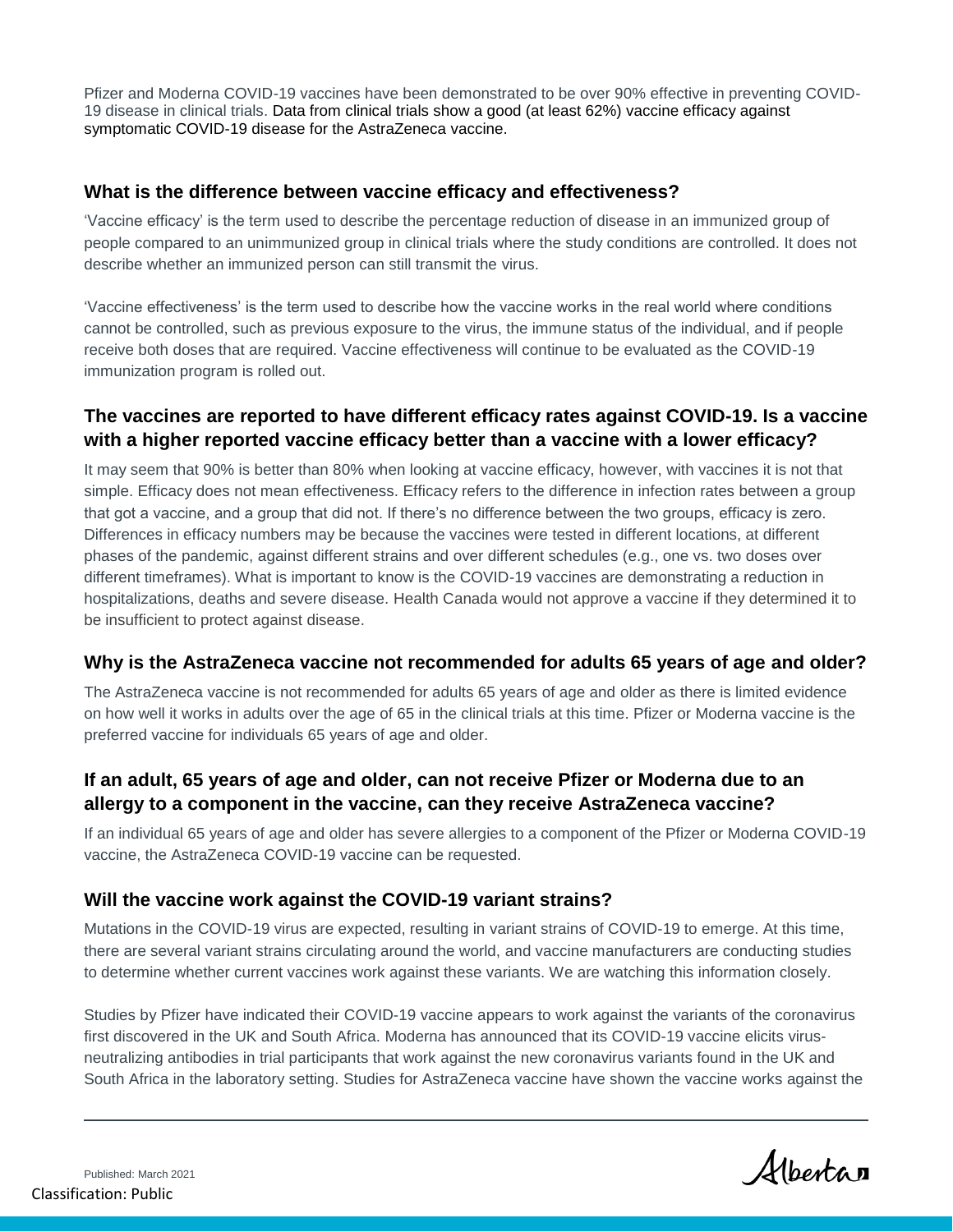Pfizer and Moderna COVID-19 vaccines have been demonstrated to be over 90% effective in preventing COVID-19 disease in clinical trials. Data from clinical trials show a good (at least 62%) vaccine efficacy against symptomatic COVID-19 disease for the AstraZeneca vaccine.

#### **What is the difference between vaccine efficacy and effectiveness?**

'Vaccine efficacy' is the term used to describe the percentage reduction of disease in an immunized group of people compared to an unimmunized group in clinical trials where the study conditions are controlled. It does not describe whether an immunized person can still transmit the virus.

'Vaccine effectiveness' is the term used to describe how the vaccine works in the real world where conditions cannot be controlled, such as previous exposure to the virus, the immune status of the individual, and if people receive both doses that are required. Vaccine effectiveness will continue to be evaluated as the COVID-19 immunization program is rolled out.

#### **The vaccines are reported to have different efficacy rates against COVID-19. Is a vaccine with a higher reported vaccine efficacy better than a vaccine with a lower efficacy?**

It may seem that 90% is better than 80% when looking at vaccine efficacy, however, with vaccines it is not that simple. Efficacy does not mean effectiveness. Efficacy refers to the difference in infection rates between a group that got a vaccine, and a group that did not. If there's no difference between the two groups, efficacy is zero. Differences in efficacy numbers may be because the vaccines were tested in different locations, at different phases of the pandemic, against different strains and over different schedules (e.g., one vs. two doses over different timeframes). What is important to know is the COVID-19 vaccines are demonstrating a reduction in hospitalizations, deaths and severe disease. Health Canada would not approve a vaccine if they determined it to be insufficient to protect against disease.

#### **Why is the AstraZeneca vaccine not recommended for adults 65 years of age and older?**

The AstraZeneca vaccine is not recommended for adults 65 years of age and older as there is limited evidence on how well it works in adults over the age of 65 in the clinical trials at this time. Pfizer or Moderna vaccine is the preferred vaccine for individuals 65 years of age and older.

#### **If an adult, 65 years of age and older, can not receive Pfizer or Moderna due to an allergy to a component in the vaccine, can they receive AstraZeneca vaccine?**

If an individual 65 years of age and older has severe allergies to a component of the Pfizer or Moderna COVID-19 vaccine, the AstraZeneca COVID-19 vaccine can be requested.

#### **Will the vaccine work against the COVID-19 variant strains?**

Mutations in the COVID-19 virus are expected, resulting in variant strains of COVID-19 to emerge. At this time, there are several variant strains circulating around the world, and vaccine manufacturers are conducting studies to determine whether current vaccines work against these variants. We are watching this information closely.

Studies by Pfizer have indicated their COVID-19 vaccine appears to work against the variants of the coronavirus first discovered in the UK and South Africa. Moderna has announced that its COVID-19 vaccine elicits virusneutralizing antibodies in trial participants that work against the new coronavirus variants found in the UK and South Africa in the laboratory setting. Studies for AstraZeneca vaccine have shown the vaccine works against the

Albertan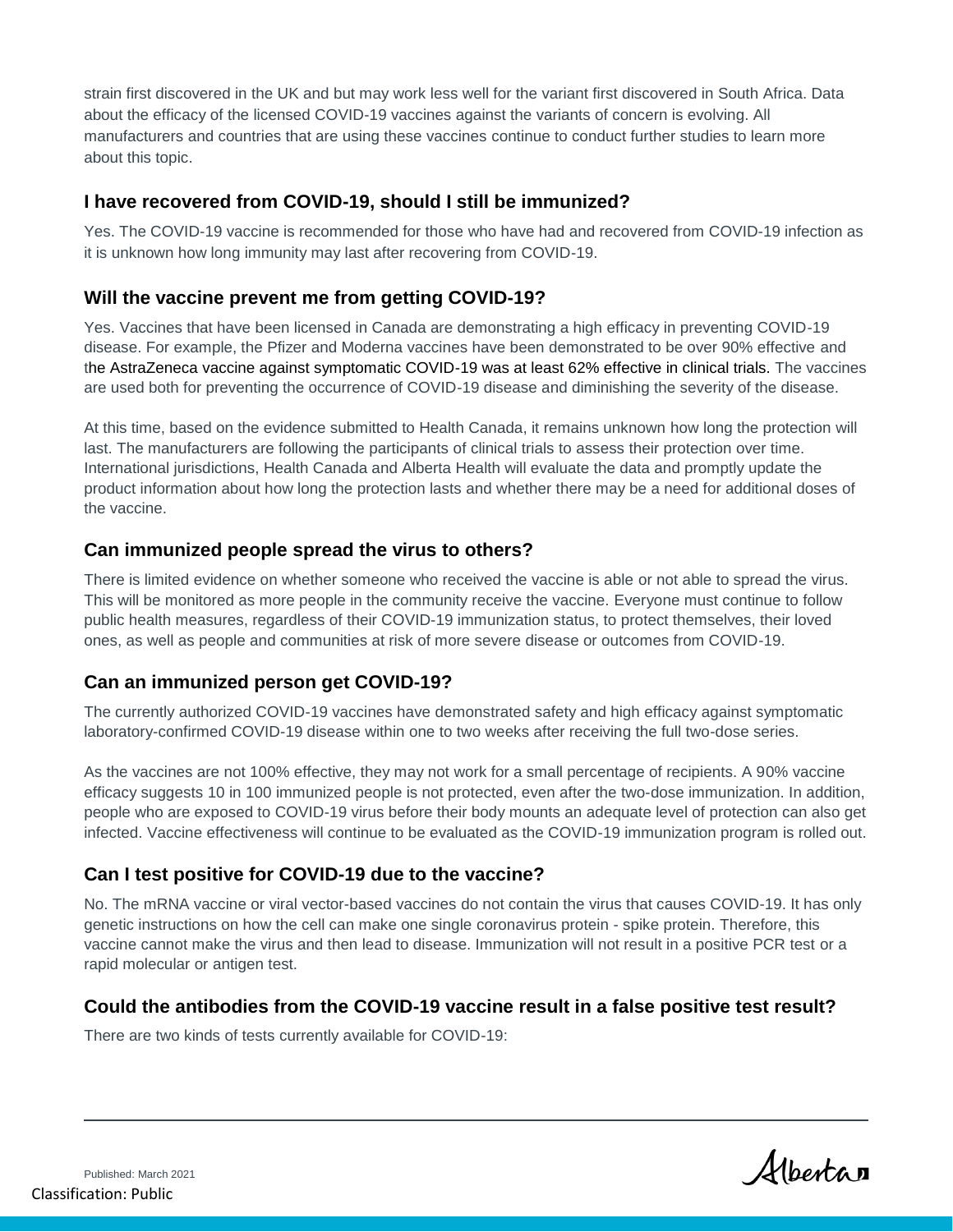strain first discovered in the UK and but may work less well for the variant first discovered in South Africa. Data about the efficacy of the licensed COVID-19 vaccines against the variants of concern is evolving. All manufacturers and countries that are using these vaccines continue to conduct further studies to learn more about this topic.

#### **I have recovered from COVID-19, should I still be immunized?**

Yes. The COVID-19 vaccine is recommended for those who have had and recovered from COVID-19 infection as it is unknown how long immunity may last after recovering from COVID-19.

#### **Will the vaccine prevent me from getting COVID-19?**

Yes. Vaccines that have been licensed in Canada are demonstrating a high efficacy in preventing COVID-19 disease. For example, the Pfizer and Moderna vaccines have been demonstrated to be over 90% effective and the AstraZeneca vaccine against symptomatic COVID-19 was at least 62% effective in clinical trials. The vaccines are used both for preventing the occurrence of COVID-19 disease and diminishing the severity of the disease.

At this time, based on the evidence submitted to Health Canada, it remains unknown how long the protection will last. The manufacturers are following the participants of clinical trials to assess their protection over time. International jurisdictions, Health Canada and Alberta Health will evaluate the data and promptly update the product information about how long the protection lasts and whether there may be a need for additional doses of the vaccine.

#### **Can immunized people spread the virus to others?**

There is limited evidence on whether someone who received the vaccine is able or not able to spread the virus. This will be monitored as more people in the community receive the vaccine. Everyone must continue to follow public health measures, regardless of their COVID-19 immunization status, to protect themselves, their loved ones, as well as people and communities at risk of more severe disease or outcomes from COVID-19.

#### **Can an immunized person get COVID-19?**

The currently authorized COVID-19 vaccines have demonstrated safety and high efficacy against symptomatic laboratory-confirmed COVID-19 disease within one to two weeks after receiving the full two-dose series.

As the vaccines are not 100% effective, they may not work for a small percentage of recipients. A 90% vaccine efficacy suggests 10 in 100 immunized people is not protected, even after the two-dose immunization. In addition, people who are exposed to COVID-19 virus before their body mounts an adequate level of protection can also get infected. Vaccine effectiveness will continue to be evaluated as the COVID-19 immunization program is rolled out.

#### **Can I test positive for COVID-19 due to the vaccine?**

No. The mRNA vaccine or viral vector-based vaccines do not contain the virus that causes COVID-19. It has only genetic instructions on how the cell can make one single coronavirus protein - spike protein. Therefore, this vaccine cannot make the virus and then lead to disease. Immunization will not result in a positive PCR test or a rapid molecular or antigen test.

#### **Could the antibodies from the COVID-19 vaccine result in a false positive test result?**

There are two kinds of tests currently available for COVID-19:

Albertan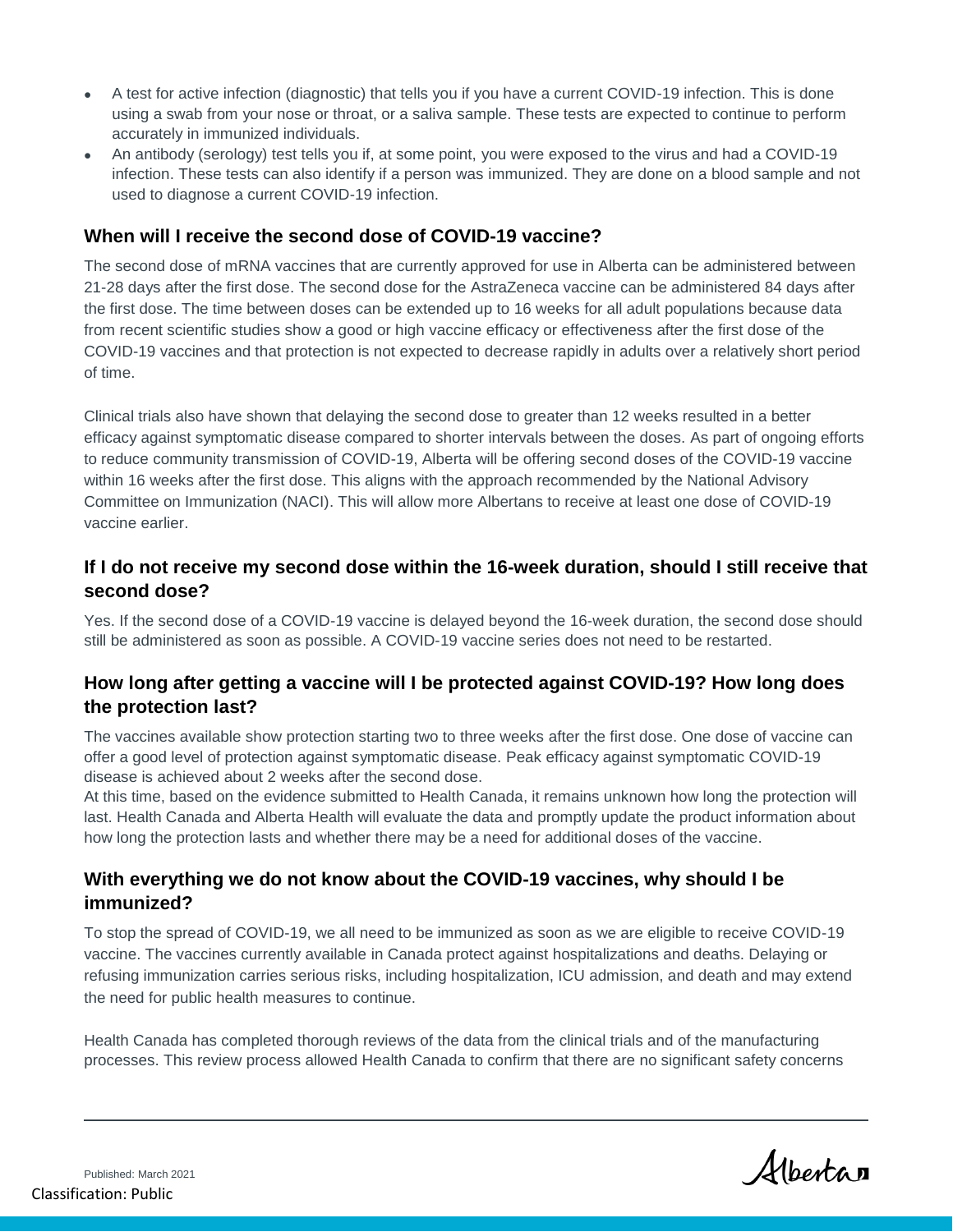- A test for active infection (diagnostic) that tells you if you have a current COVID-19 infection. This is done using a swab from your nose or throat, or a saliva sample. These tests are expected to continue to perform accurately in immunized individuals.
- An antibody (serology) test tells you if, at some point, you were exposed to the virus and had a COVID-19 infection. These tests can also identify if a person was immunized. They are done on a blood sample and not used to diagnose a current COVID-19 infection.

#### **When will I receive the second dose of COVID-19 vaccine?**

The second dose of mRNA vaccines that are currently approved for use in Alberta can be administered between 21-28 days after the first dose. The second dose for the AstraZeneca vaccine can be administered 84 days after the first dose. The time between doses can be extended up to 16 weeks for all adult populations because data from recent scientific studies show a good or high vaccine efficacy or effectiveness after the first dose of the COVID-19 vaccines and that protection is not expected to decrease rapidly in adults over a relatively short period of time.

Clinical trials also have shown that delaying the second dose to greater than 12 weeks resulted in a better efficacy against symptomatic disease compared to shorter intervals between the doses. As part of ongoing efforts to reduce community transmission of COVID-19, Alberta will be offering second doses of the COVID-19 vaccine within 16 weeks after the first dose. This aligns with the approach recommended by the National Advisory Committee on Immunization (NACI). This will allow more Albertans to receive at least one dose of COVID-19 vaccine earlier.

#### **If I do not receive my second dose within the 16-week duration, should I still receive that second dose?**

Yes. If the second dose of a COVID-19 vaccine is delayed beyond the 16-week duration, the second dose should still be administered as soon as possible. A COVID-19 vaccine series does not need to be restarted.

#### **How long after getting a vaccine will I be protected against COVID-19? How long does the protection last?**

The vaccines available show protection starting two to three weeks after the first dose. One dose of vaccine can offer a good level of protection against symptomatic disease. Peak efficacy against symptomatic COVID-19 disease is achieved about 2 weeks after the second dose.

At this time, based on the evidence submitted to Health Canada, it remains unknown how long the protection will last. Health Canada and Alberta Health will evaluate the data and promptly update the product information about how long the protection lasts and whether there may be a need for additional doses of the vaccine.

#### **With everything we do not know about the COVID-19 vaccines, why should I be immunized?**

To stop the spread of COVID-19, we all need to be immunized as soon as we are eligible to receive COVID-19 vaccine. The vaccines currently available in Canada protect against hospitalizations and deaths. Delaying or refusing immunization carries serious risks, including hospitalization, ICU admission, and death and may extend the need for public health measures to continue.

Health Canada has completed thorough reviews of the data from the clinical trials and of the manufacturing processes. This review process allowed Health Canada to confirm that there are no significant safety concerns

Albertan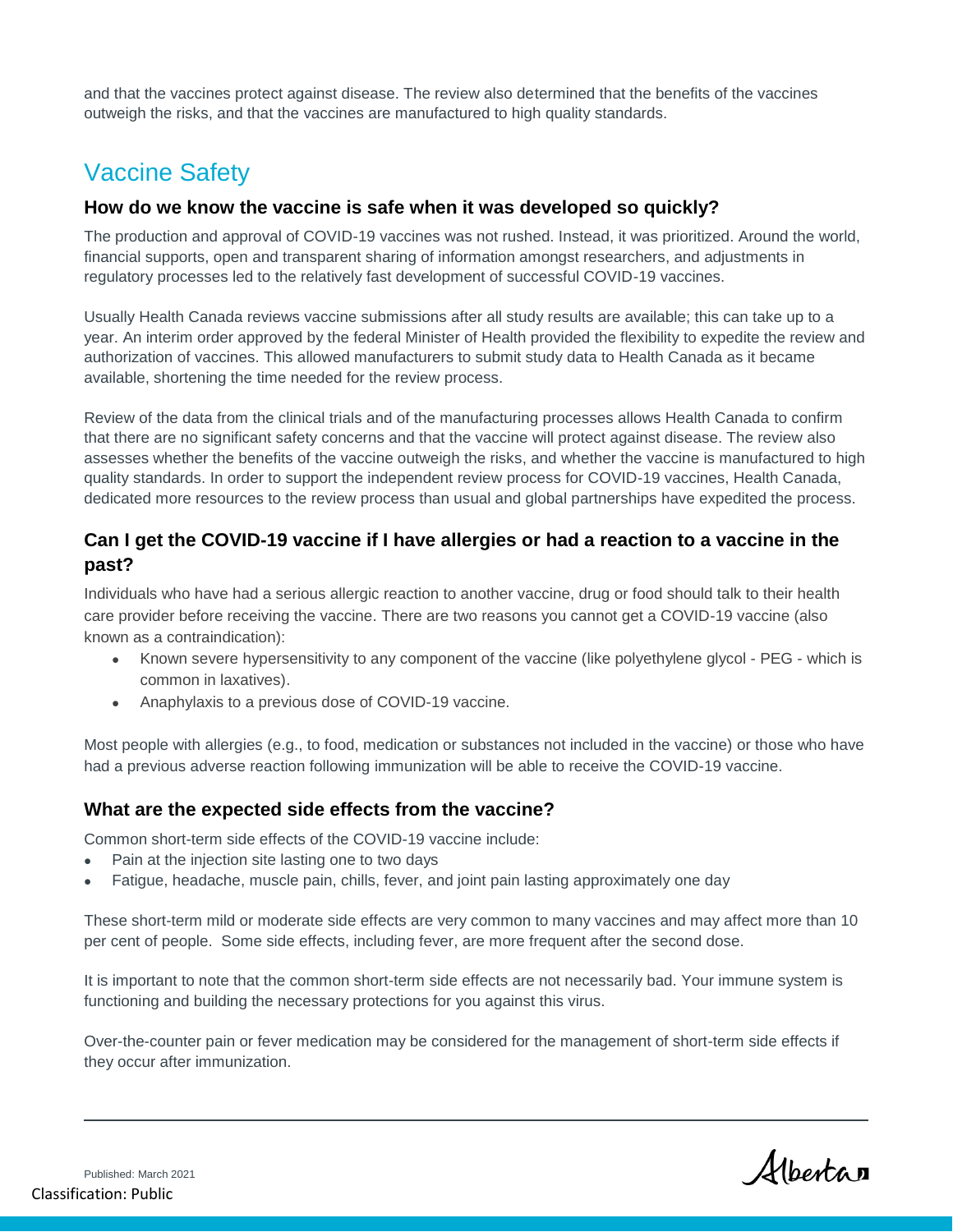and that the vaccines protect against disease. The review also determined that the benefits of the vaccines outweigh the risks, and that the vaccines are manufactured to high quality standards.

# Vaccine Safety

#### **How do we know the vaccine is safe when it was developed so quickly?**

The production and approval of COVID-19 vaccines was not rushed. Instead, it was prioritized. Around the world, financial supports, open and transparent sharing of information amongst researchers, and adjustments in regulatory processes led to the relatively fast development of successful COVID-19 vaccines.

Usually Health Canada reviews vaccine submissions after all study results are available; this can take up to a year. An interim order approved by the federal Minister of Health provided the flexibility to expedite the review and authorization of vaccines. This allowed manufacturers to submit study data to Health Canada as it became available, shortening the time needed for the review process.

Review of the data from the clinical trials and of the manufacturing processes allows Health Canada to confirm that there are no significant safety concerns and that the vaccine will protect against disease. The review also assesses whether the benefits of the vaccine outweigh the risks, and whether the vaccine is manufactured to high quality standards. In order to support the independent review process for COVID-19 vaccines, Health Canada, dedicated more resources to the review process than usual and global partnerships have expedited the process.

#### **Can I get the COVID-19 vaccine if I have allergies or had a reaction to a vaccine in the past?**

Individuals who have had a serious allergic reaction to another vaccine, drug or food should talk to their health care provider before receiving the vaccine. There are two reasons you cannot get a COVID-19 vaccine (also known as a contraindication):

- Known severe hypersensitivity to any component of the vaccine (like polyethylene glycol PEG which is common in laxatives).
- Anaphylaxis to a previous dose of COVID-19 vaccine.

Most people with allergies (e.g., to food, medication or substances not included in the vaccine) or those who have had a previous adverse reaction following immunization will be able to receive the COVID-19 vaccine.

#### **What are the expected side effects from the vaccine?**

Common short-term side effects of the COVID-19 vaccine include:

- Pain at the injection site lasting one to two days
- Fatigue, headache, muscle pain, chills, fever, and joint pain lasting approximately one day

These short-term mild or moderate side effects are very common to many vaccines and may affect more than 10 per cent of people. Some side effects, including fever, are more frequent after the second dose.

It is important to note that the common short-term side effects are not necessarily bad. Your immune system is functioning and building the necessary protections for you against this virus.

Over-the-counter pain or fever medication may be considered for the management of short-term side effects if they occur after immunization.

Albertan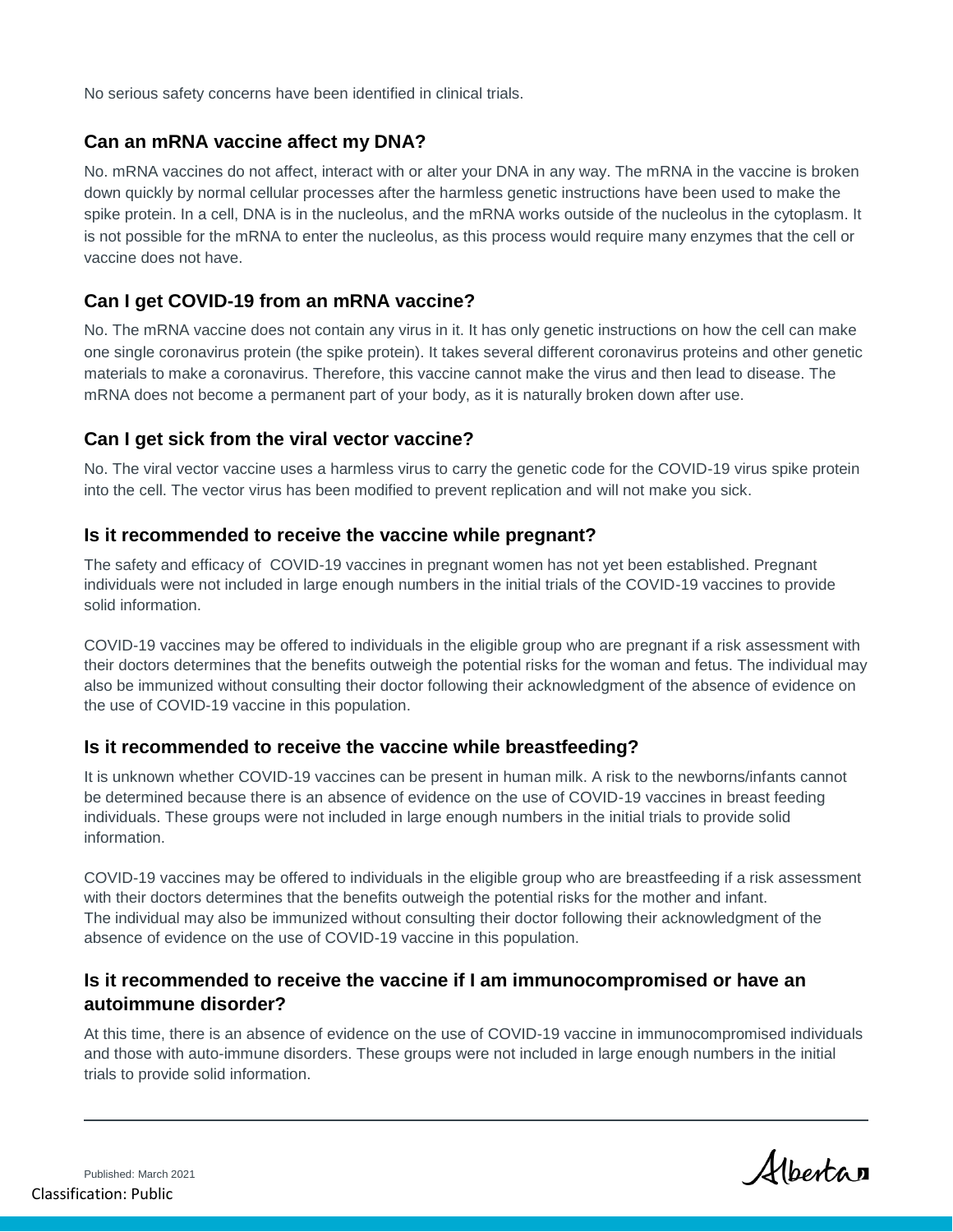No serious safety concerns have been identified in clinical trials.

#### **Can an mRNA vaccine affect my DNA?**

No. mRNA vaccines do not affect, interact with or alter your DNA in any way. The mRNA in the vaccine is broken down quickly by normal cellular processes after the harmless genetic instructions have been used to make the spike protein. In a cell, DNA is in the nucleolus, and the mRNA works outside of the nucleolus in the cytoplasm. It is not possible for the mRNA to enter the nucleolus, as this process would require many enzymes that the cell or vaccine does not have.

#### **Can I get COVID-19 from an mRNA vaccine?**

No. The mRNA vaccine does not contain any virus in it. It has only genetic instructions on how the cell can make one single coronavirus protein (the spike protein). It takes several different coronavirus proteins and other genetic materials to make a coronavirus. Therefore, this vaccine cannot make the virus and then lead to disease. The mRNA does not become a permanent part of your body, as it is naturally broken down after use.

#### **Can I get sick from the viral vector vaccine?**

No. The viral vector vaccine uses a harmless virus to carry the genetic code for the COVID-19 virus spike protein into the cell. The vector virus has been modified to prevent replication and will not make you sick.

#### **Is it recommended to receive the vaccine while pregnant?**

The safety and efficacy of COVID-19 vaccines in pregnant women has not yet been established. Pregnant individuals were not included in large enough numbers in the initial trials of the COVID-19 vaccines to provide solid information.

COVID-19 vaccines may be offered to individuals in the eligible group who are pregnant if a risk assessment with their doctors determines that the benefits outweigh the potential risks for the woman and fetus. The individual may also be immunized without consulting their doctor following their acknowledgment of the absence of evidence on the use of COVID-19 vaccine in this population.

#### **Is it recommended to receive the vaccine while breastfeeding?**

It is unknown whether COVID-19 vaccines can be present in human milk. A risk to the newborns/infants cannot be determined because there is an absence of evidence on the use of COVID-19 vaccines in breast feeding individuals. These groups were not included in large enough numbers in the initial trials to provide solid information.

COVID-19 vaccines may be offered to individuals in the eligible group who are breastfeeding if a risk assessment with their doctors determines that the benefits outweigh the potential risks for the mother and infant. The individual may also be immunized without consulting their doctor following their acknowledgment of the absence of evidence on the use of COVID-19 vaccine in this population.

#### **Is it recommended to receive the vaccine if I am immunocompromised or have an autoimmune disorder?**

At this time, there is an absence of evidence on the use of COVID-19 vaccine in immunocompromised individuals and those with auto-immune disorders. These groups were not included in large enough numbers in the initial trials to provide solid information.

Albertan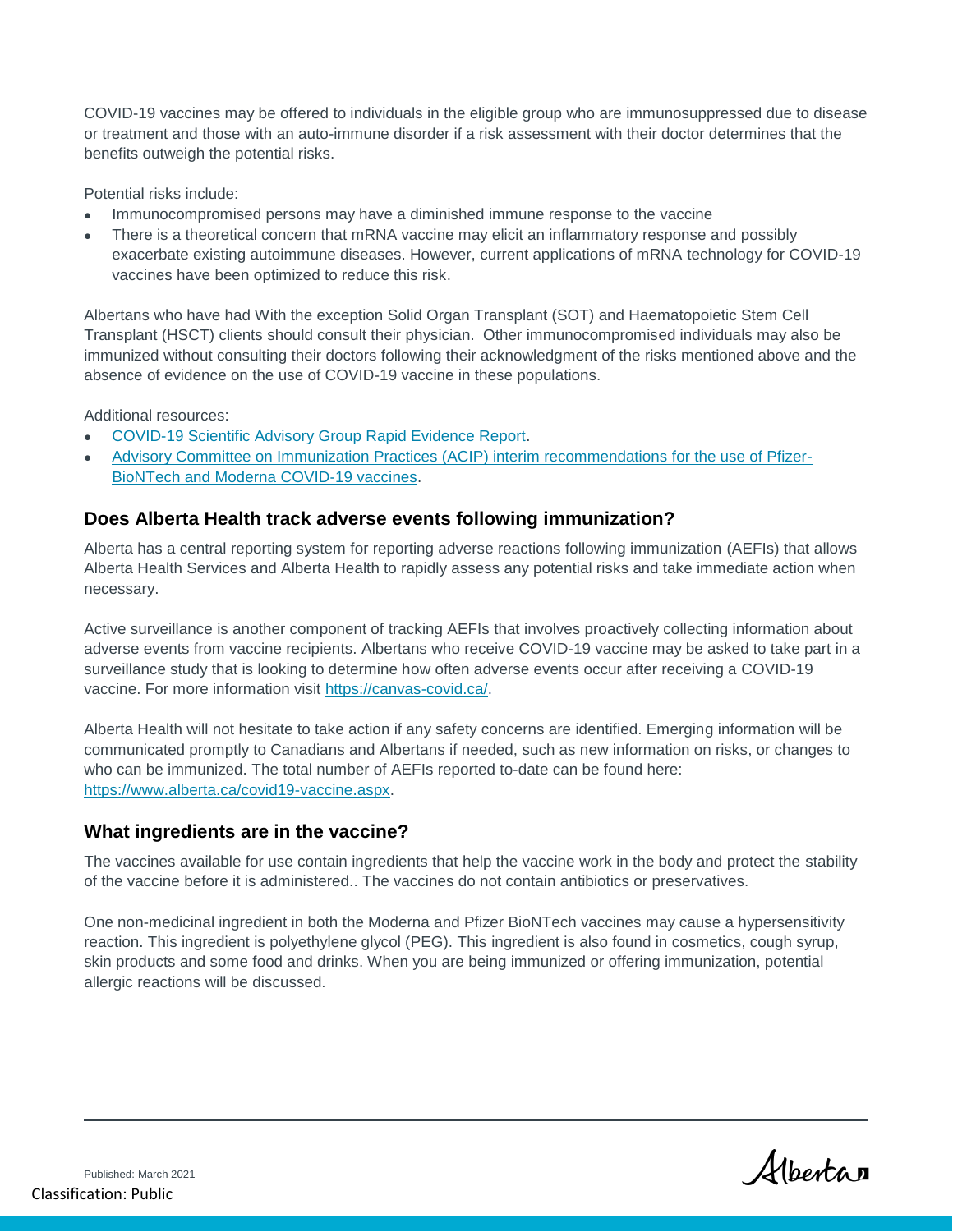COVID-19 vaccines may be offered to individuals in the eligible group who are immunosuppressed due to disease or treatment and those with an auto-immune disorder if a risk assessment with their doctor determines that the benefits outweigh the potential risks.

Potential risks include:

- Immunocompromised persons may have a diminished immune response to the vaccine
- There is a theoretical concern that mRNA vaccine may elicit an inflammatory response and possibly exacerbate existing autoimmune diseases. However, current applications of mRNA technology for COVID-19 vaccines have been optimized to reduce this risk.

Albertans who have had With the exception Solid Organ Transplant (SOT) and Haematopoietic Stem Cell Transplant (HSCT) clients should consult their physician. Other immunocompromised individuals may also be immunized without consulting their doctors following their acknowledgment of the risks mentioned above and the absence of evidence on the use of COVID-19 vaccine in these populations.

Additional resources:

- [COVID-19 Scientific Advisory Group Rapid Evidence Report.](https://www.albertahealthservices.ca/assets/info/ppih/if-ppih-covid-19-sag-immunosuppression-and-covid-19-risk-rapid-review.pdf)
- [Advisory Committee on Immunization Practices \(ACIP\) interim recommendations for the use of Pfizer-](https://www.cdc.gov/vaccines/covid-19/info-by-product/clinical-considerations.html)[BioNTech and Moderna COVID-19 vaccines.](https://www.cdc.gov/vaccines/covid-19/info-by-product/clinical-considerations.html)

#### **Does Alberta Health track adverse events following immunization?**

Alberta has a central reporting system for reporting adverse reactions following immunization (AEFIs) that allows Alberta Health Services and Alberta Health to rapidly assess any potential risks and take immediate action when necessary.

Active surveillance is another component of tracking AEFIs that involves proactively collecting information about adverse events from vaccine recipients. Albertans who receive COVID-19 vaccine may be asked to take part in a surveillance study that is looking to determine how often adverse events occur after receiving a COVID-19 vaccine. For more information visit [https://canvas-covid.ca/.](https://canvas-covid.ca/)

Alberta Health will not hesitate to take action if any safety concerns are identified. Emerging information will be communicated promptly to Canadians and Albertans if needed, such as new information on risks, or changes to who can be immunized. The total number of AEFIs reported to-date can be found here: [https://www.alberta.ca/covid19-vaccine.aspx.](https://www.alberta.ca/covid19-vaccine.aspx)

#### **What ingredients are in the vaccine?**

The vaccines available for use contain ingredients that help the vaccine work in the body and protect the stability of the vaccine before it is administered.. The vaccines do not contain antibiotics or preservatives.

One non-medicinal ingredient in both the Moderna and Pfizer BioNTech vaccines may cause a hypersensitivity reaction. This ingredient is polyethylene glycol (PEG). This ingredient is also found in cosmetics, cough syrup, skin products and some food and drinks. When you are being immunized or offering immunization, potential allergic reactions will be discussed.

Albertan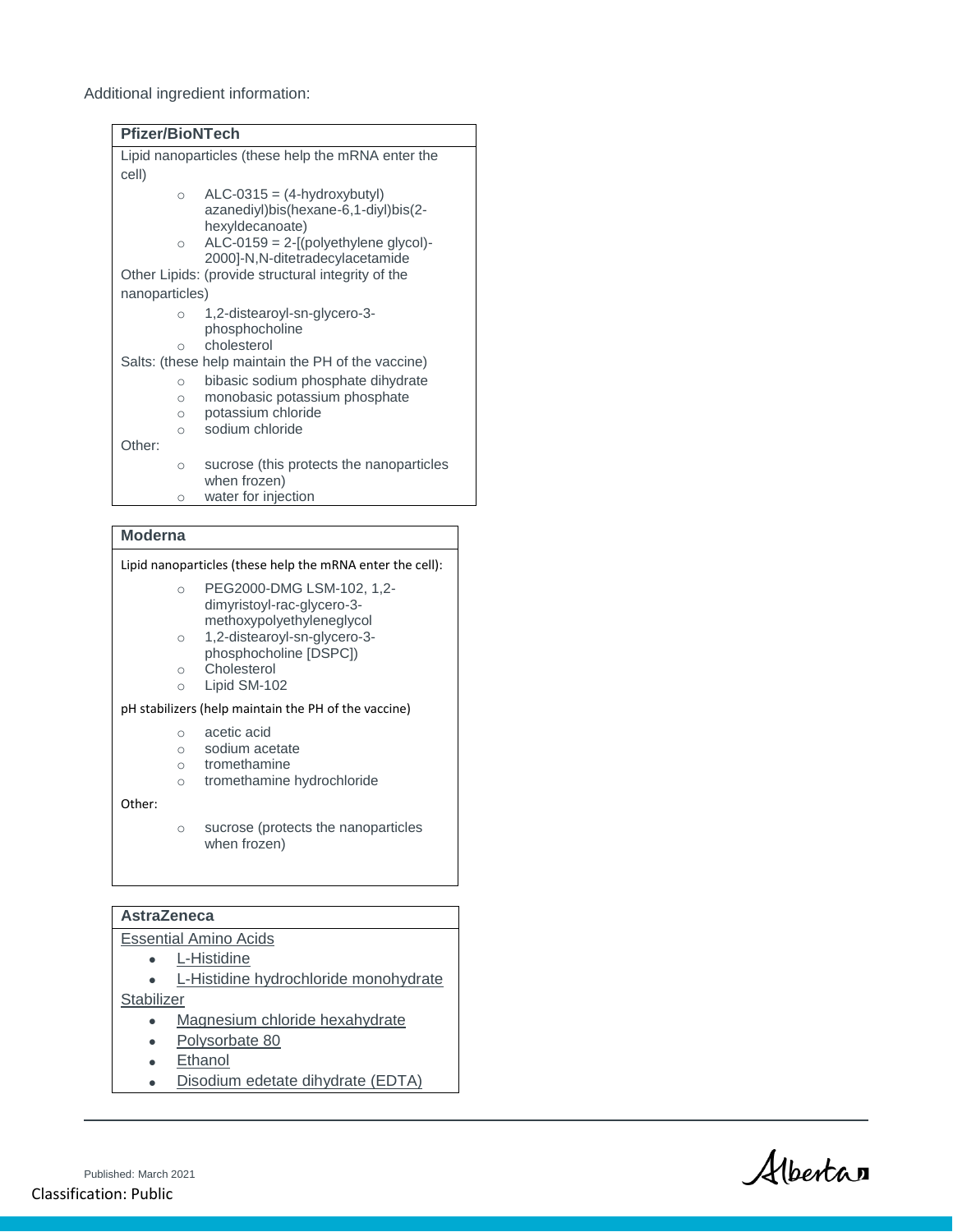Additional ingredient information:

| <b>Pfizer/BioNTech</b>                             |                                                                       |  |
|----------------------------------------------------|-----------------------------------------------------------------------|--|
| Lipid nanoparticles (these help the mRNA enter the |                                                                       |  |
| cell)                                              |                                                                       |  |
| $\cap$                                             | $ALC-0315 = (4-hydroxybutyl)$<br>azanediyl)bis(hexane-6,1-diyl)bis(2- |  |
| $\circ$                                            | hexyldecanoate)<br>$ALC-0159 = 2-[(polyethylene glycol)-$             |  |
|                                                    | 2000]-N,N-ditetradecylacetamide                                       |  |
| Other Lipids: (provide structural integrity of the |                                                                       |  |
| nanoparticles)                                     |                                                                       |  |
| $\circ$                                            | 1,2-distearoyl-sn-glycero-3-<br>phosphocholine                        |  |
| $\cap$                                             | cholesterol                                                           |  |
| Salts: (these help maintain the PH of the vaccine) |                                                                       |  |
| $\circ$                                            | bibasic sodium phosphate dihydrate                                    |  |
| $\circ$                                            | monobasic potassium phosphate                                         |  |
| $\circ$                                            | potassium chloride                                                    |  |
| $\circ$                                            | sodium chloride                                                       |  |
| Other:                                             |                                                                       |  |
| $\circ$                                            | sucrose (this protects the nanoparticles<br>when frozen)              |  |
| $\bigcirc$                                         | water for injection                                                   |  |

#### **Moderna**

| Lipid nanoparticles (these help the mRNA enter the cell): |                                                         |  |
|-----------------------------------------------------------|---------------------------------------------------------|--|
| $\bigcirc$                                                | PEG2000-DMG LSM-102, 1,2-                               |  |
|                                                           | dimyristoyl-rac-glycero-3-<br>methoxypolyethyleneglycol |  |
| $\circ$                                                   | 1,2-distearoyl-sn-glycero-3-                            |  |
|                                                           | phosphocholine [DSPC])<br>Cholesterol                   |  |
| $\bigcirc$                                                |                                                         |  |
| $\bigcirc$                                                | Lipid SM-102                                            |  |
| pH stabilizers (help maintain the PH of the vaccine)      |                                                         |  |
| Ω                                                         | acetic acid                                             |  |
| $\bigcap$                                                 | sodium acetate                                          |  |
| $\bigcap$                                                 | tromethamine                                            |  |
| $\bigcirc$                                                | tromethamine hydrochloride                              |  |
| Other:                                                    |                                                         |  |
|                                                           | sucroso (protects the nanoparticles                     |  |

o sucrose (protects the nanoparticles when frozen)

#### **AstraZeneca**

- Essential Amino Acids
	- L-Histidine
- L-Histidine hydrochloride monohydrate **Stabilizer** 
	- Magnesium chloride hexahydrate
	- Polysorbate 80
	- Ethanol
	- Disodium edetate dihydrate (EDTA)

Albertan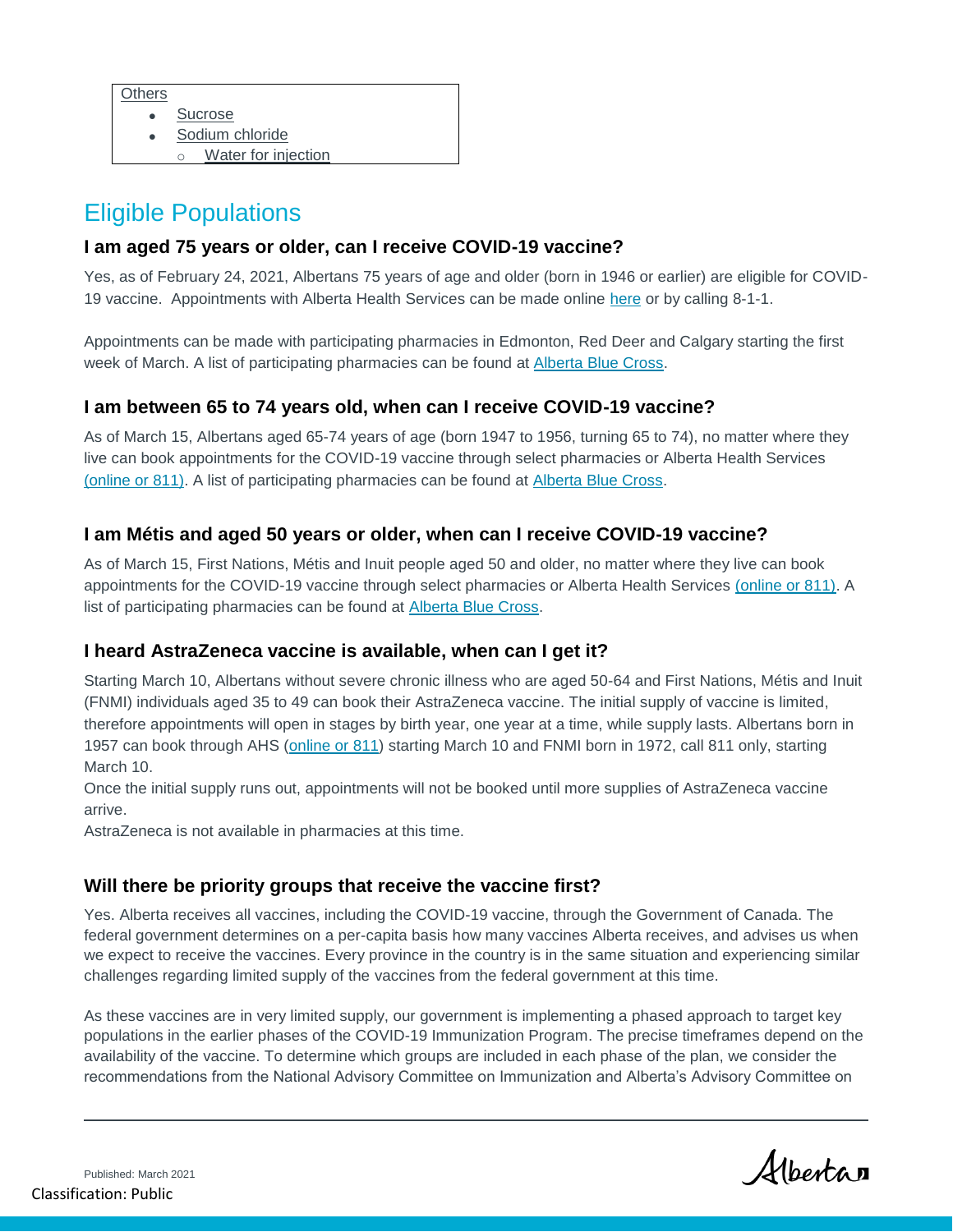- Sucrose
- Sodium chloride
- Water for injection

## Eligible Populations

#### **I am aged 75 years or older, can I receive COVID-19 vaccine?**

Yes, as of February 24, 2021, Albertans 75 years of age and older (born in 1946 or earlier) are eligible for COVID19 vaccine. Appointments with Alberta Health Services can be made online [here](https://www.albertahealthservices.ca/topics/Page17295.aspx) or by calling 8-1-1.

Appointments can be made with participating pharmacies in Edmonton, Red Deer and Calgary starting the first week of March. A list of participating pharmacies can be found at [Alberta Blue Cross.](https://www.ab.bluecross.ca/news/covid-19-immunization-program-information.php)

#### **I am between 65 to 74 years old, when can I receive COVID-19 vaccine?**

As of March 15, Albertans aged 65-74 years of age (born 1947 to 1956, turning 65 to 74), no matter where they live can book appointments for the COVID-19 vaccine through select pharmacies or Alberta Health Services [\(online or 811\).](https://www.albertahealthservices.ca/topics/Page17295.aspx) A list of participating pharmacies can be found at [Alberta Blue Cross.](https://www.ab.bluecross.ca/news/covid-19-immunization-program-information.php)

#### **I am Métis and aged 50 years or older, when can I receive COVID-19 vaccine?**

As of March 15, First Nations, Métis and Inuit people aged 50 and older, no matter where they live can book appointments for the COVID-19 vaccine through select pharmacies or Alberta Health Services [\(online or 811\).](https://www.albertahealthservices.ca/topics/Page17295.aspx) A list of participating pharmacies can be found at [Alberta Blue Cross.](https://www.ab.bluecross.ca/news/covid-19-immunization-program-information.php)

#### **I heard AstraZeneca vaccine is available, when can I get it?**

Starting March 10, Albertans without severe chronic illness who are aged 50-64 and First Nations, Métis and Inuit (FNMI) individuals aged 35 to 49 can book their AstraZeneca vaccine. The initial supply of vaccine is limited, therefore appointments will open in stages by birth year, one year at a time, while supply lasts. Albertans born in 1957 can book through AHS [\(online or 811\)](https://www.albertahealthservices.ca/topics/Page17295.aspx) starting March 10 and FNMI born in 1972, call 811 only, starting March 10.

Once the initial supply runs out, appointments will not be booked until more supplies of AstraZeneca vaccine arrive.

AstraZeneca is not available in pharmacies at this time.

#### **Will there be priority groups that receive the vaccine first?**

Yes. Alberta receives all vaccines, including the COVID-19 vaccine, through the Government of Canada. The federal government determines on a per-capita basis how many vaccines Alberta receives, and advises us when we expect to receive the vaccines. Every province in the country is in the same situation and experiencing similar challenges regarding limited supply of the vaccines from the federal government at this time.

As these vaccines are in very limited supply, our government is implementing a phased approach to target key populations in the earlier phases of the COVID-19 Immunization Program. The precise timeframes depend on the availability of the vaccine. To determine which groups are included in each phase of the plan, we consider the recommendations from the National Advisory Committee on Immunization and Alberta's Advisory Committee on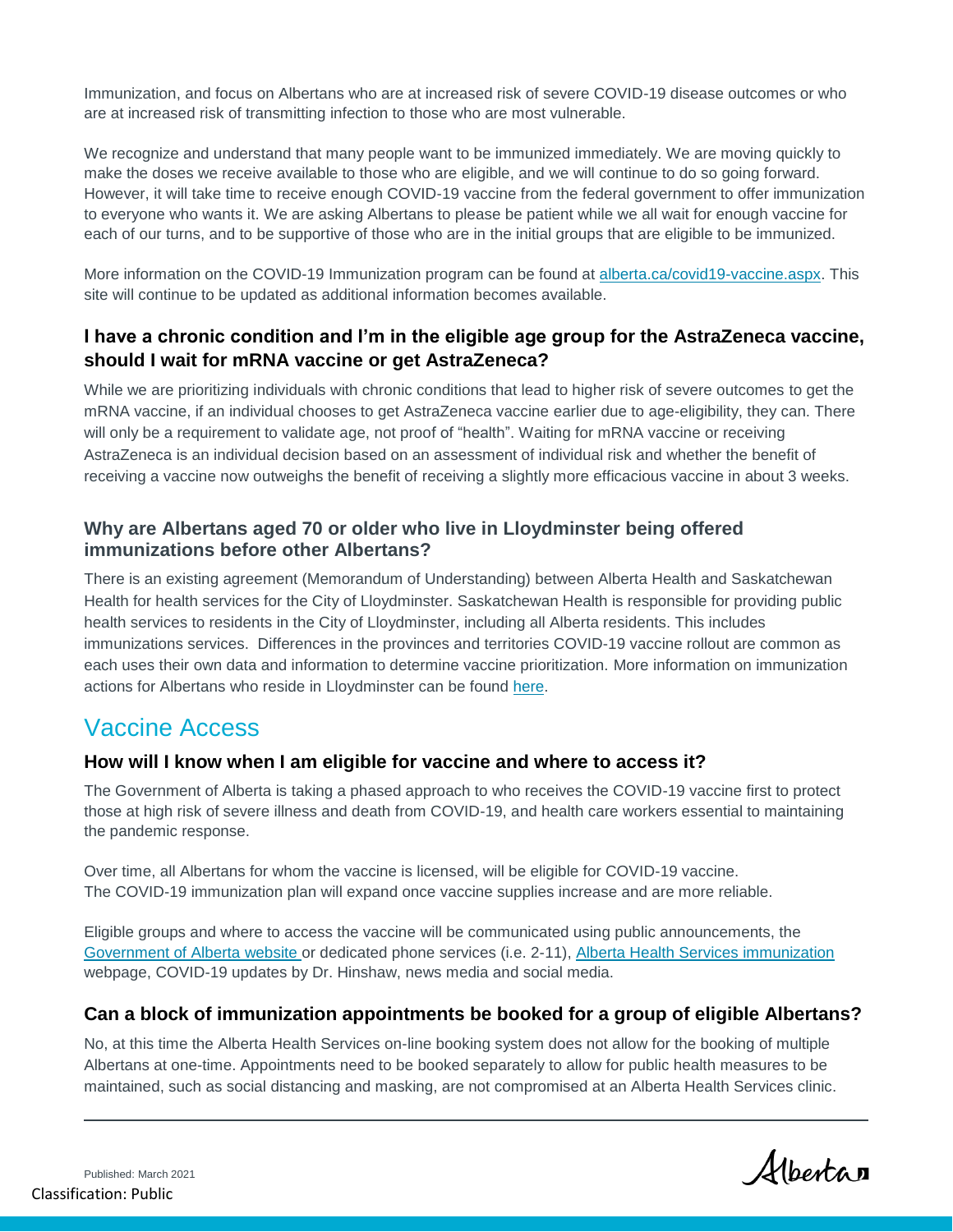Immunization, and focus on Albertans who are at increased risk of severe COVID-19 disease outcomes or who are at increased risk of transmitting infection to those who are most vulnerable.

We recognize and understand that many people want to be immunized immediately. We are moving quickly to make the doses we receive available to those who are eligible, and we will continue to do so going forward. However, it will take time to receive enough COVID-19 vaccine from the federal government to offer immunization to everyone who wants it. We are asking Albertans to please be patient while we all wait for enough vaccine for each of our turns, and to be supportive of those who are in the initial groups that are eligible to be immunized.

More information on the COVID-19 Immunization program can be found at [alberta.ca/covid19-vaccine.aspx.](file:///C:/Users/collette.benbow/AppData/Local/Microsoft/Windows/INetCache/Content.Outlook/VIZR44ZC/alberta.ca/covid19-vaccine.aspx) This site will continue to be updated as additional information becomes available.

#### **I have a chronic condition and I'm in the eligible age group for the AstraZeneca vaccine, should I wait for mRNA vaccine or get AstraZeneca?**

While we are prioritizing individuals with chronic conditions that lead to higher risk of severe outcomes to get the mRNA vaccine, if an individual chooses to get AstraZeneca vaccine earlier due to age-eligibility, they can. There will only be a requirement to validate age, not proof of "health". Waiting for mRNA vaccine or receiving AstraZeneca is an individual decision based on an assessment of individual risk and whether the benefit of receiving a vaccine now outweighs the benefit of receiving a slightly more efficacious vaccine in about 3 weeks.

#### **Why are Albertans aged 70 or older who live in Lloydminster being offered immunizations before other Albertans?**

There is an existing agreement (Memorandum of Understanding) between Alberta Health and Saskatchewan Health for health services for the City of Lloydminster. Saskatchewan Health is responsible for providing public health services to residents in the City of Lloydminster, including all Alberta residents. This includes immunizations services. Differences in the provinces and territories COVID-19 vaccine rollout are common as each uses their own data and information to determine vaccine prioritization. More information on immunization actions for Albertans who reside in Lloydminster can be found [here.](https://www.saskhealthauthority.ca/news/releases/Pages/2021/February/COVID-19-Vaccination-Information-for-the-City-of-Lloydminster.aspx)

## Vaccine Access

#### **How will I know when I am eligible for vaccine and where to access it?**

The Government of Alberta is taking a phased approach to who receives the COVID-19 vaccine first to protect those at high risk of severe illness and death from COVID-19, and health care workers essential to maintaining the pandemic response.

Over time, all Albertans for whom the vaccine is licensed, will be eligible for COVID-19 vaccine. The COVID-19 immunization plan will expand once vaccine supplies increase and are more reliable.

Eligible groups and where to access the vaccine will be communicated using public announcements, the [Government of Alberta website o](https://www.alberta.ca/covid19-vaccine.aspx)r dedicated phone services (i.e. 2-11), [Alberta Health Services immunization](https://www.albertahealthservices.ca/topics/Page17295.aspx) webpage, COVID-19 updates by Dr. Hinshaw, news media and social media.

#### **Can a block of immunization appointments be booked for a group of eligible Albertans?**

No, at this time the Alberta Health Services on-line booking system does not allow for the booking of multiple Albertans at one-time. Appointments need to be booked separately to allow for public health measures to be maintained, such as social distancing and masking, are not compromised at an Alberta Health Services clinic.

Published: March 2021 Classification: Public

Albertan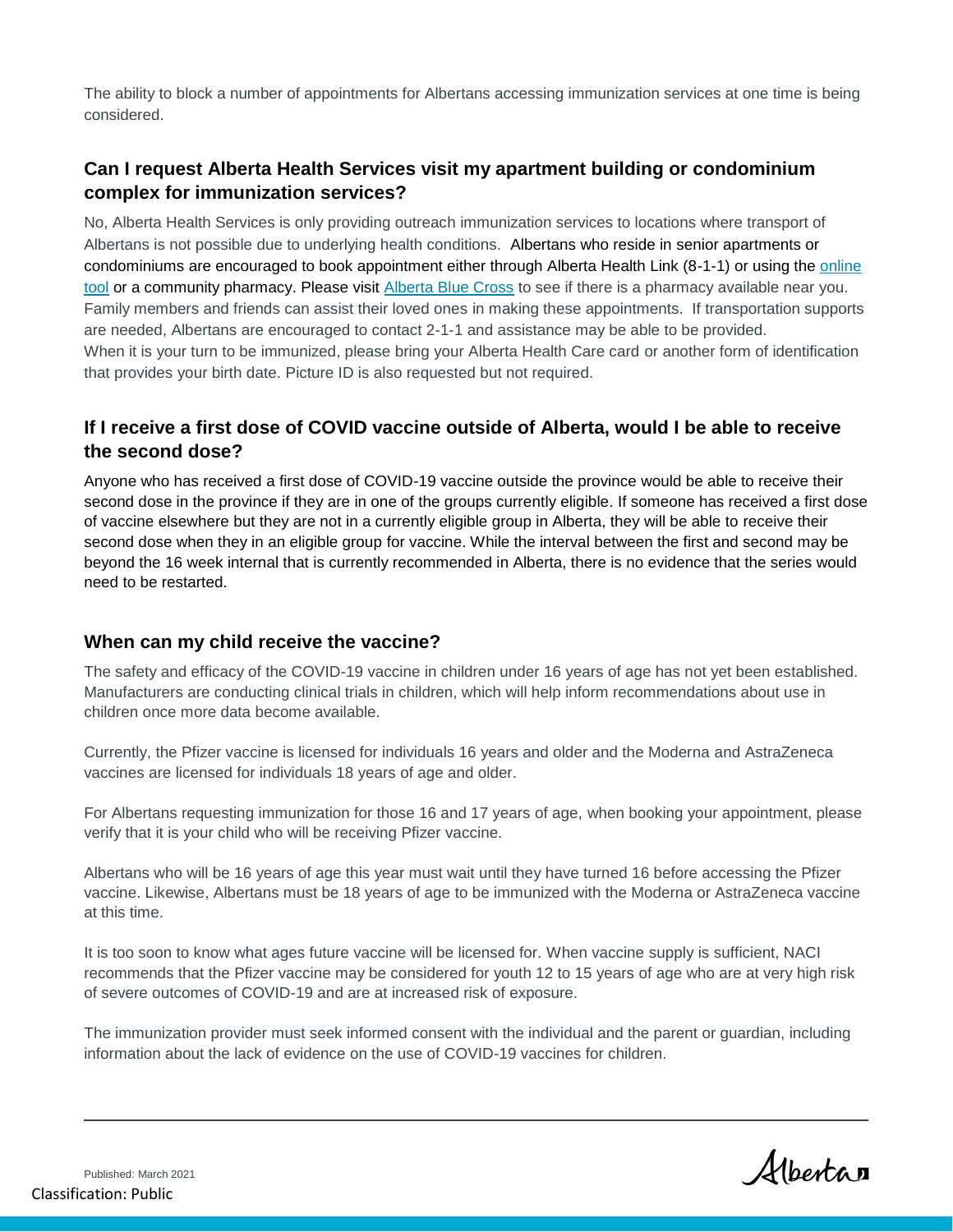The ability to block a number of appointments for Albertans accessing immunization services at one time is being considered.

## **Can I request Alberta Health Services visit my apartment building or condominium complex for immunization services?**

No, Alberta Health Services is only providing outreach immunization services to locations where transport of Albertans is not possible due to underlying health conditions. Albertans who reside in senior apartments or condominiums are encouraged to book appointment either through Alberta Health Link (8-1-1) or using the [online](https://www.albertahealthservices.ca/topics/Page17295.aspx)  [tool](https://www.albertahealthservices.ca/topics/Page17295.aspx) or a community pharmacy. Please visit [Alberta Blue Cross](https://www.ab.bluecross.ca/news/covid-19-immunization-program-information.php) to see if there is a pharmacy available near you. Family members and friends can assist their loved ones in making these appointments. If transportation supports are needed, Albertans are encouraged to contact 2-1-1 and assistance may be able to be provided. When it is your turn to be immunized, please bring your Alberta Health Care card or another form of identification that provides your birth date. Picture ID is also requested but not required.

#### **If I receive a first dose of COVID vaccine outside of Alberta, would I be able to receive the second dose?**

Anyone who has received a first dose of COVID-19 vaccine outside the province would be able to receive their second dose in the province if they are in one of the groups currently eligible. If someone has received a first dose of vaccine elsewhere but they are not in a currently eligible group in Alberta, they will be able to receive their second dose when they in an eligible group for vaccine. While the interval between the first and second may be beyond the 16 week internal that is currently recommended in Alberta, there is no evidence that the series would need to be restarted.

#### **When can my child receive the vaccine?**

The safety and efficacy of the COVID-19 vaccine in children under 16 years of age has not yet been established. Manufacturers are conducting clinical trials in children, which will help inform recommendations about use in children once more data become available.

Currently, the Pfizer vaccine is licensed for individuals 16 years and older and the Moderna and AstraZeneca vaccines are licensed for individuals 18 years of age and older.

For Albertans requesting immunization for those 16 and 17 years of age, when booking your appointment, please verify that it is your child who will be receiving Pfizer vaccine.

Albertans who will be 16 years of age this year must wait until they have turned 16 before accessing the Pfizer vaccine. Likewise, Albertans must be 18 years of age to be immunized with the Moderna or AstraZeneca vaccine at this time.

It is too soon to know what ages future vaccine will be licensed for. When vaccine supply is sufficient, NACI recommends that the Pfizer vaccine may be considered for youth 12 to 15 years of age who are at very high risk of severe outcomes of COVID-19 and are at increased risk of exposure.

The immunization provider must seek informed consent with the individual and the parent or guardian, including information about the lack of evidence on the use of COVID-19 vaccines for children.

Albertan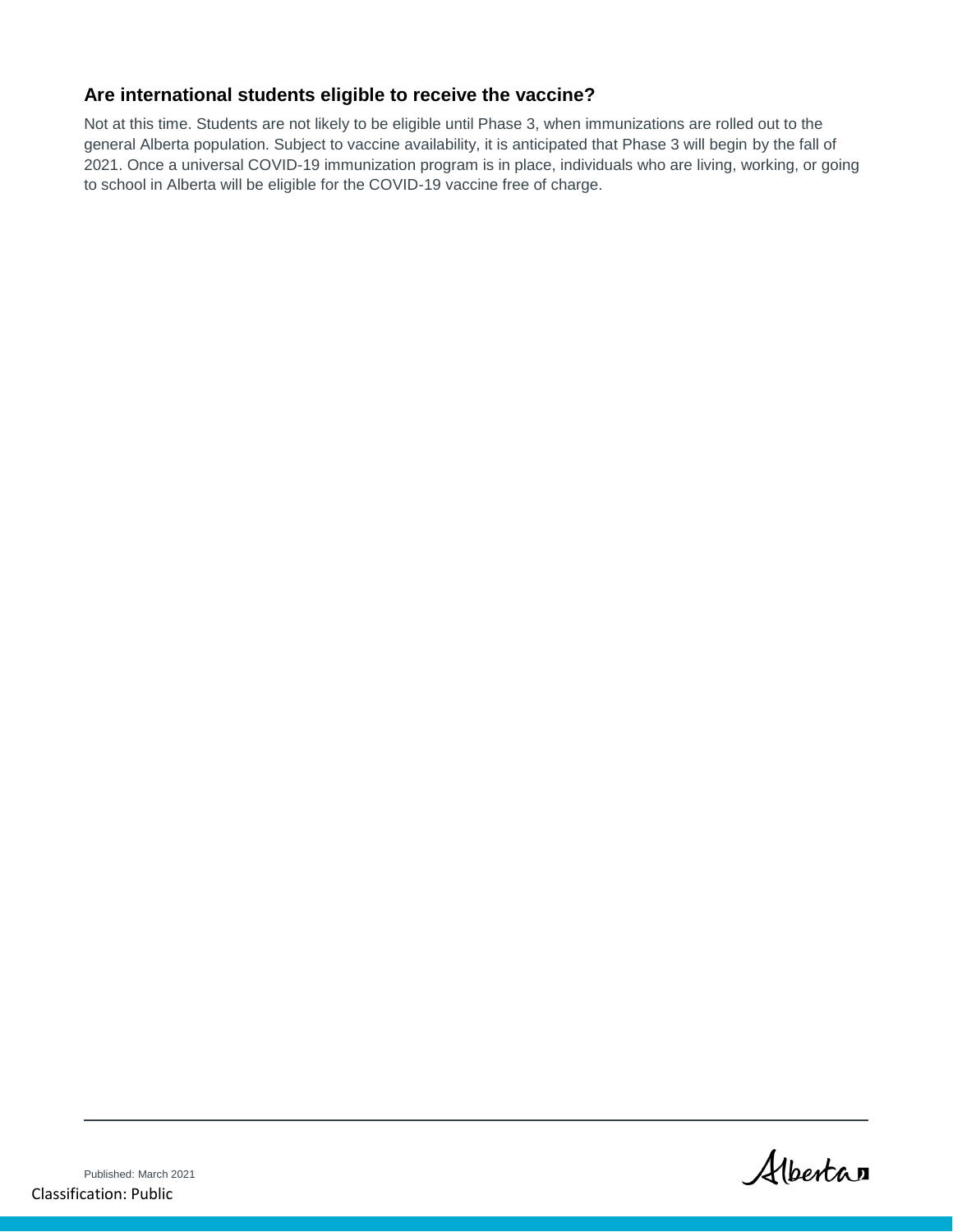#### **Are international students eligible to receive the vaccine?**

Not at this time. Students are not likely to be eligible until Phase 3, when immunizations are rolled out to the general Alberta population. Subject to vaccine availability, it is anticipated that Phase 3 will begin by the fall of 2021. Once a universal COVID-19 immunization program is in place, individuals who are living, working, or going to school in Alberta will be eligible for the COVID-19 vaccine free of charge.

Albertan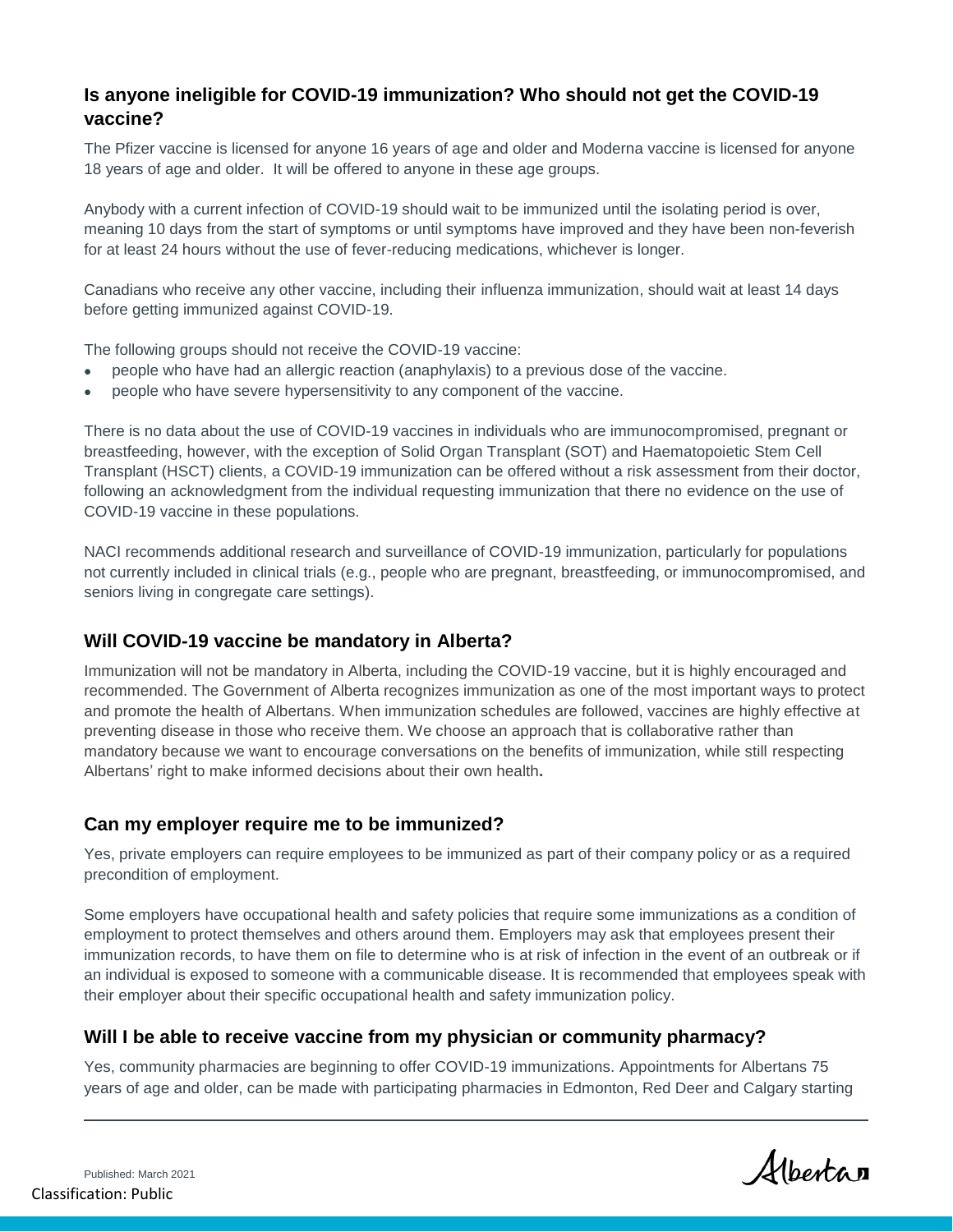#### **Is anyone ineligible for COVID-19 immunization? Who should not get the COVID-19 vaccine?**

The Pfizer vaccine is licensed for anyone 16 years of age and older and Moderna vaccine is licensed for anyone 18 years of age and older. It will be offered to anyone in these age groups.

Anybody with a current infection of COVID-19 should wait to be immunized until the isolating period is over, meaning 10 days from the start of symptoms or until symptoms have improved and they have been non-feverish for at least 24 hours without the use of fever-reducing medications, whichever is longer.

Canadians who receive any other vaccine, including their influenza immunization, should wait at least 14 days before getting immunized against COVID-19.

The following groups should not receive the COVID-19 vaccine:

- people who have had an allergic reaction (anaphylaxis) to a previous dose of the vaccine.
- people who have severe hypersensitivity to any component of the vaccine.

There is no data about the use of COVID-19 vaccines in individuals who are immunocompromised, pregnant or breastfeeding, however, with the exception of Solid Organ Transplant (SOT) and Haematopoietic Stem Cell Transplant (HSCT) clients, a COVID-19 immunization can be offered without a risk assessment from their doctor, following an acknowledgment from the individual requesting immunization that there no evidence on the use of COVID-19 vaccine in these populations.

NACI recommends additional research and surveillance of COVID-19 immunization, particularly for populations not currently included in clinical trials (e.g., people who are pregnant, breastfeeding, or immunocompromised, and seniors living in congregate care settings).

#### **Will COVID-19 vaccine be mandatory in Alberta?**

Immunization will not be mandatory in Alberta, including the COVID-19 vaccine, but it is highly encouraged and recommended. The Government of Alberta recognizes immunization as one of the most important ways to protect and promote the health of Albertans. When immunization schedules are followed, vaccines are highly effective at preventing disease in those who receive them. We choose an approach that is collaborative rather than mandatory because we want to encourage conversations on the benefits of immunization, while still respecting Albertans' right to make informed decisions about their own health**.**

#### **Can my employer require me to be immunized?**

Yes, private employers can require employees to be immunized as part of their company policy or as a required precondition of employment.

Some employers have occupational health and safety policies that require some immunizations as a condition of employment to protect themselves and others around them. Employers may ask that employees present their immunization records, to have them on file to determine who is at risk of infection in the event of an outbreak or if an individual is exposed to someone with a communicable disease. It is recommended that employees speak with their employer about their specific occupational health and safety immunization policy.

#### **Will I be able to receive vaccine from my physician or community pharmacy?**

Yes, community pharmacies are beginning to offer COVID-19 immunizations. Appointments for Albertans 75 years of age and older, can be made with participating pharmacies in Edmonton, Red Deer and Calgary starting

Published: March 2021 Classification: Public

Albertan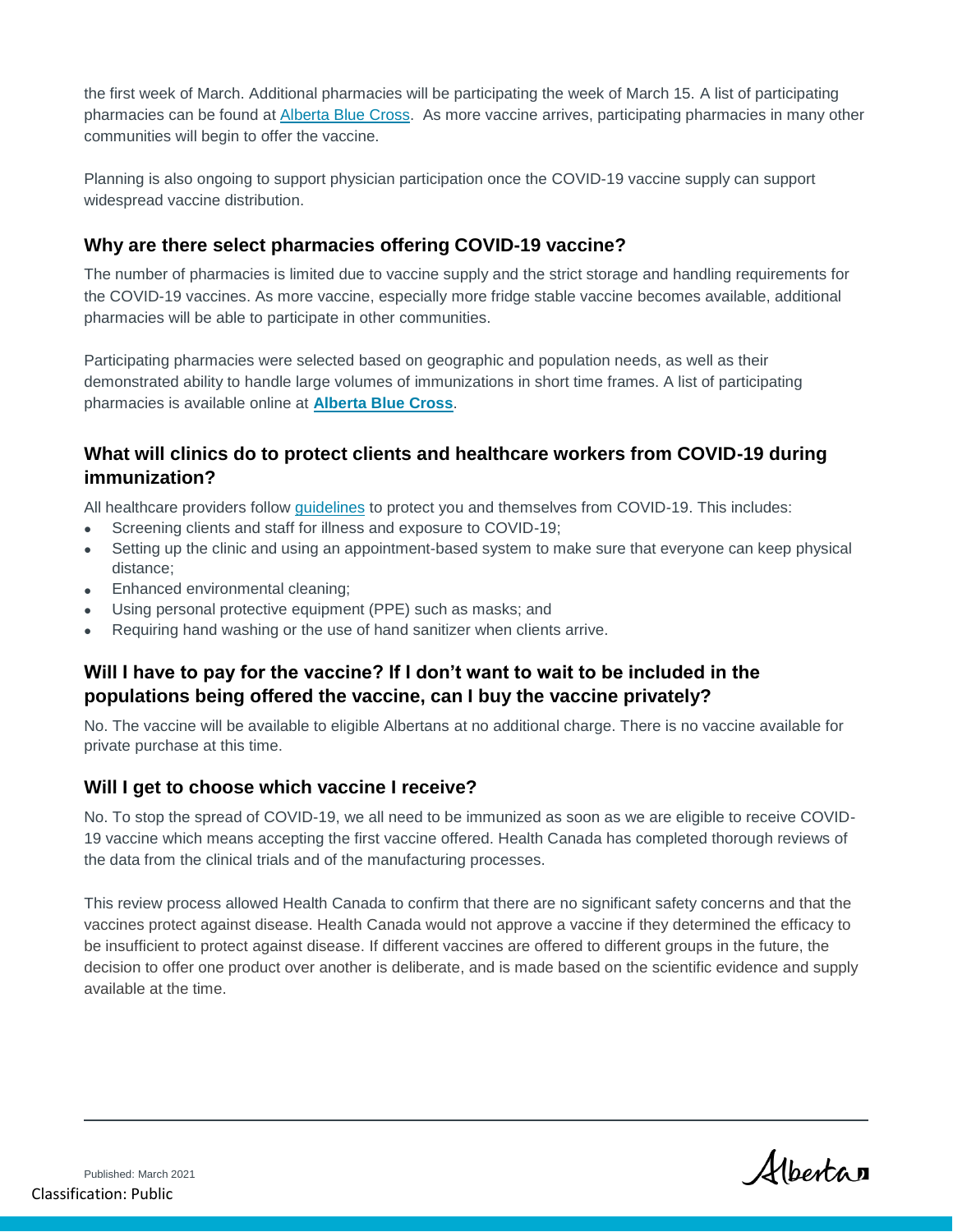the first week of March. Additional pharmacies will be participating the week of March 15. A list of participating pharmacies can be found at [Alberta Blue Cross.](https://www.ab.bluecross.ca/news/covid-19-immunization-program-information.php) As more vaccine arrives, participating pharmacies in many other communities will begin to offer the vaccine.

Planning is also ongoing to support physician participation once the COVID-19 vaccine supply can support widespread vaccine distribution.

#### **Why are there select pharmacies offering COVID-19 vaccine?**

The number of pharmacies is limited due to vaccine supply and the strict storage and handling requirements for the COVID-19 vaccines. As more vaccine, especially more fridge stable vaccine becomes available, additional pharmacies will be able to participate in other communities.

Participating pharmacies were selected based on geographic and population needs, as well as their demonstrated ability to handle large volumes of immunizations in short time frames. A list of participating pharmacies is available online at **[Alberta Blue Cross](https://can01.safelinks.protection.outlook.com/?url=https%3A%2F%2Fwww.ab.bluecross.ca%2Fnews%2Fcovid-19-immunization-program-information.php&data=04%7C01%7CCollette.Benbow%40gov.ab.ca%7Cbe227369a8324ffd6eb708d8d9b88c24%7C2bb51c06af9b42c58bf53c3b7b10850b%7C0%7C0%7C637498733929310068%7CUnknown%7CTWFpbGZsb3d8eyJWIjoiMC4wLjAwMDAiLCJQIjoiV2luMzIiLCJBTiI6Ik1haWwiLCJXVCI6Mn0%3D%7C1000&sdata=vkPRbxIAv5qnQtaCIHcJUR8MCBgpwj%2BKofA7j3bvx4U%3D&reserved=0)**.

#### **What will clinics do to protect clients and healthcare workers from COVID-19 during immunization?**

All healthcare providers follow [guidelines](https://open.alberta.ca/publications/covid-19-immunization-guidance-during-covid-19-pandemic) to protect you and themselves from COVID-19. This includes:

- Screening clients and staff for illness and exposure to COVID-19;
- Setting up the clinic and using an appointment-based system to make sure that everyone can keep physical distance;
- Enhanced environmental cleaning;
- Using personal protective equipment (PPE) such as masks; and
- Requiring hand washing or the use of hand sanitizer when clients arrive.

#### **Will I have to pay for the vaccine? If I don't want to wait to be included in the populations being offered the vaccine, can I buy the vaccine privately?**

No. The vaccine will be available to eligible Albertans at no additional charge. There is no vaccine available for private purchase at this time.

#### **Will I get to choose which vaccine I receive?**

No. To stop the spread of COVID-19, we all need to be immunized as soon as we are eligible to receive COVID-19 vaccine which means accepting the first vaccine offered. Health Canada has completed thorough reviews of the data from the clinical trials and of the manufacturing processes.

This review process allowed Health Canada to confirm that there are no significant safety concerns and that the vaccines protect against disease. Health Canada would not approve a vaccine if they determined the efficacy to be insufficient to protect against disease. If different vaccines are offered to different groups in the future, the decision to offer one product over another is deliberate, and is made based on the scientific evidence and supply available at the time.

Albertan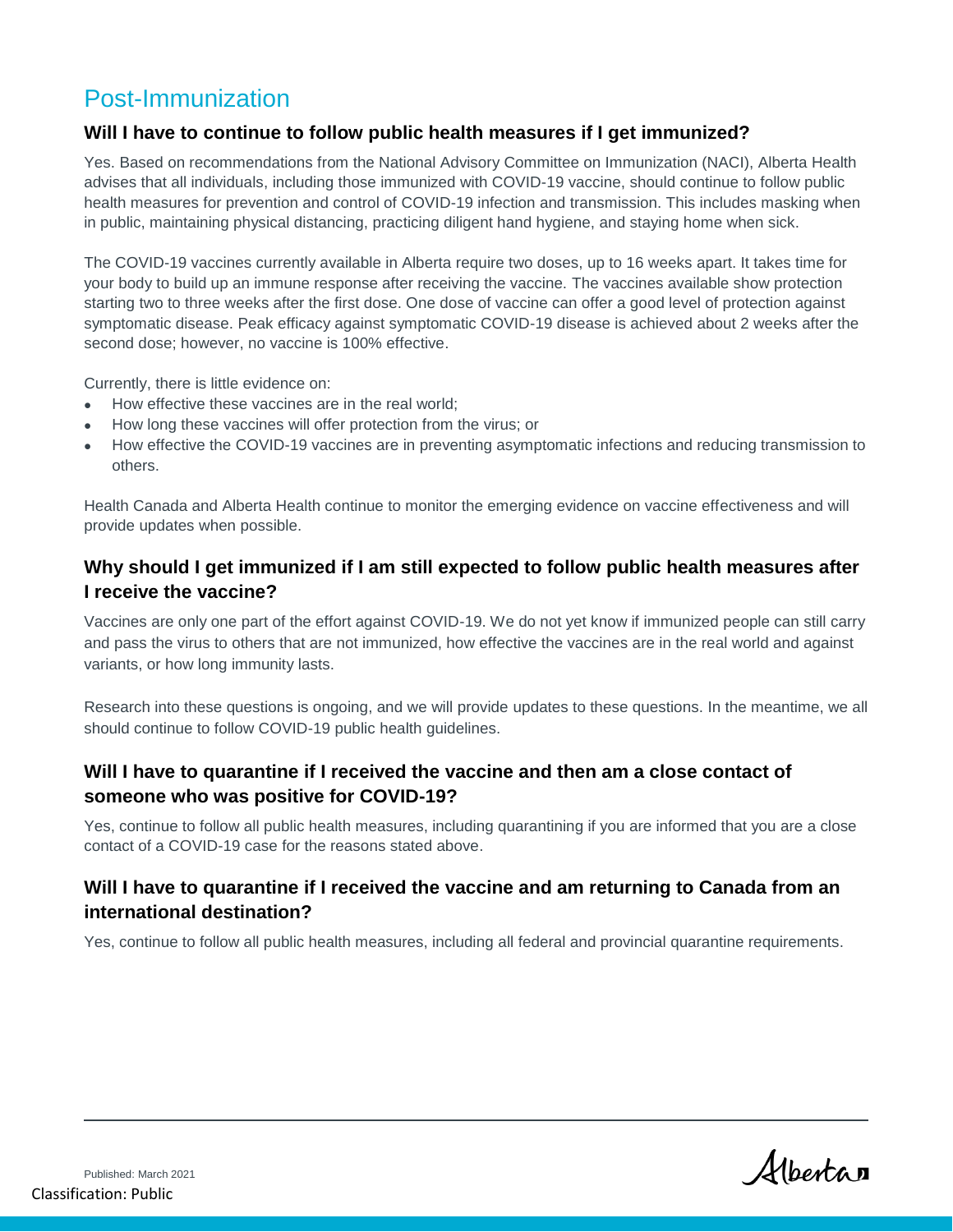## Post-Immunization

#### **Will I have to continue to follow public health measures if I get immunized?**

Yes. Based on recommendations from the National Advisory Committee on Immunization (NACI), Alberta Health advises that all individuals, including those immunized with COVID-19 vaccine, should continue to follow public health measures for prevention and control of COVID-19 infection and transmission. This includes masking when in public, maintaining physical distancing, practicing diligent hand hygiene, and staying home when sick.

The COVID-19 vaccines currently available in Alberta require two doses, up to 16 weeks apart. It takes time for your body to build up an immune response after receiving the vaccine. The vaccines available show protection starting two to three weeks after the first dose. One dose of vaccine can offer a good level of protection against symptomatic disease. Peak efficacy against symptomatic COVID-19 disease is achieved about 2 weeks after the second dose; however, no vaccine is 100% effective.

Currently, there is little evidence on:

- How effective these vaccines are in the real world;
- How long these vaccines will offer protection from the virus; or
- How effective the COVID-19 vaccines are in preventing asymptomatic infections and reducing transmission to others.

Health Canada and Alberta Health continue to monitor the emerging evidence on vaccine effectiveness and will provide updates when possible.

#### **Why should I get immunized if I am still expected to follow public health measures after I receive the vaccine?**

Vaccines are only one part of the effort against COVID-19. We do not yet know if immunized people can still carry and pass the virus to others that are not immunized, how effective the vaccines are in the real world and against variants, or how long immunity lasts.

Research into these questions is ongoing, and we will provide updates to these questions. In the meantime, we all should continue to follow COVID-19 public health guidelines.

#### **Will I have to quarantine if I received the vaccine and then am a close contact of someone who was positive for COVID-19?**

Yes, continue to follow all public health measures, including quarantining if you are informed that you are a close contact of a COVID-19 case for the reasons stated above.

#### **Will I have to quarantine if I received the vaccine and am returning to Canada from an international destination?**

Yes, continue to follow all public health measures, including all federal and provincial quarantine requirements.

Albertan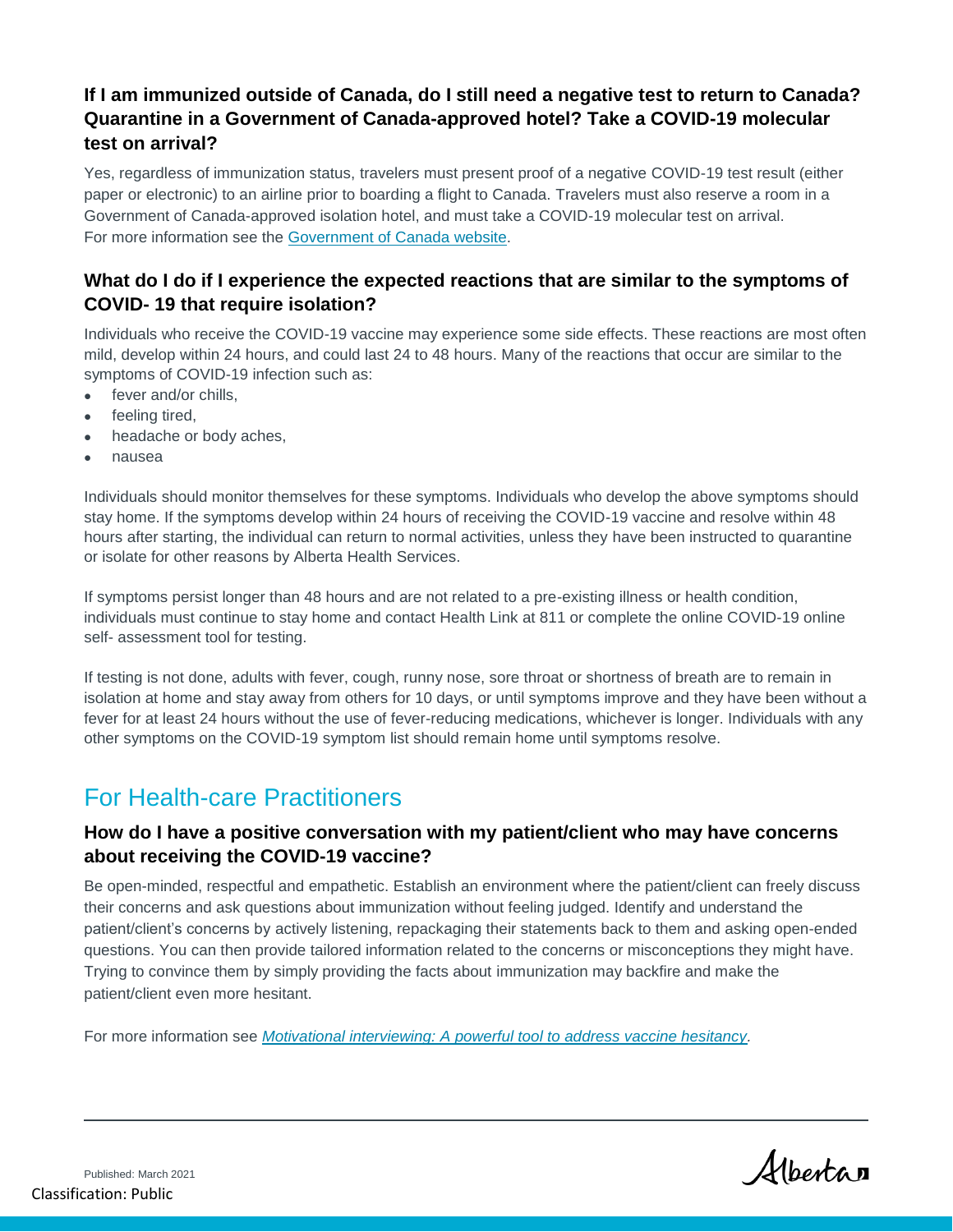## **If I am immunized outside of Canada, do I still need a negative test to return to Canada? Quarantine in a Government of Canada-approved hotel? Take a COVID-19 molecular test on arrival?**

Yes, regardless of immunization status, travelers must present proof of a negative COVID-19 test result (either paper or electronic) to an airline prior to boarding a flight to Canada. Travelers must also reserve a room in a Government of Canada-approved isolation hotel, and must take a COVID-19 molecular test on arrival. For more information see the [Government of Canada website.](https://travel.gc.ca/travel-covid)

#### **What do I do if I experience the expected reactions that are similar to the symptoms of COVID- 19 that require isolation?**

Individuals who receive the COVID-19 vaccine may experience some side effects. These reactions are most often mild, develop within 24 hours, and could last 24 to 48 hours. Many of the reactions that occur are similar to the symptoms of COVID-19 infection such as:

- fever and/or chills,
- feeling tired,
- headache or body aches,
- nausea

Individuals should monitor themselves for these symptoms. Individuals who develop the above symptoms should stay home. If the symptoms develop within 24 hours of receiving the COVID-19 vaccine and resolve within 48 hours after starting, the individual can return to normal activities, unless they have been instructed to quarantine or isolate for other reasons by Alberta Health Services.

If symptoms persist longer than 48 hours and are not related to a pre-existing illness or health condition, individuals must continue to stay home and contact Health Link at 811 or complete the online COVID-19 online self- assessment tool for testing.

If testing is not done, adults with fever, cough, runny nose, sore throat or shortness of breath are to remain in isolation at home and stay away from others for 10 days, or until symptoms improve and they have been without a fever for at least 24 hours without the use of fever-reducing medications, whichever is longer. Individuals with any other symptoms on the COVID-19 symptom list should remain home until symptoms resolve.

## For Health-care Practitioners

#### **How do I have a positive conversation with my patient/client who may have concerns about receiving the COVID-19 vaccine?**

Be open-minded, respectful and empathetic. Establish an environment where the patient/client can freely discuss their concerns and ask questions about immunization without feeling judged. Identify and understand the patient/client's concerns by actively listening, repackaging their statements back to them and asking open-ended questions. You can then provide tailored information related to the concerns or misconceptions they might have. Trying to convince them by simply providing the facts about immunization may backfire and make the patient/client even more hesitant.

For more information see *[Motivational interviewing: A powerful tool to address vaccine hesitancy.](https://www.canada.ca/content/dam/phac-aspc/documents/services/reports-publications/canada-communicable-disease-report-ccdr/monthly-issue/2020-46/issue-4-april-2-2020/ccdrv46i04a06-eng.pdf)*